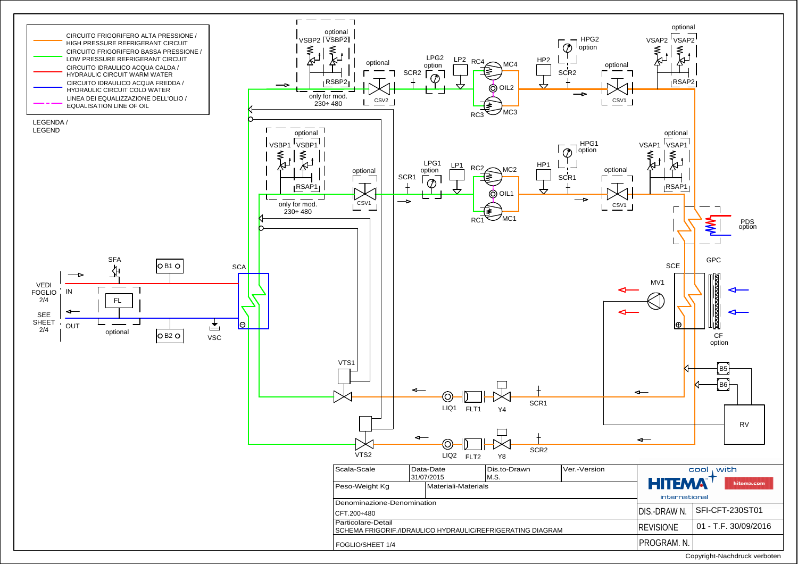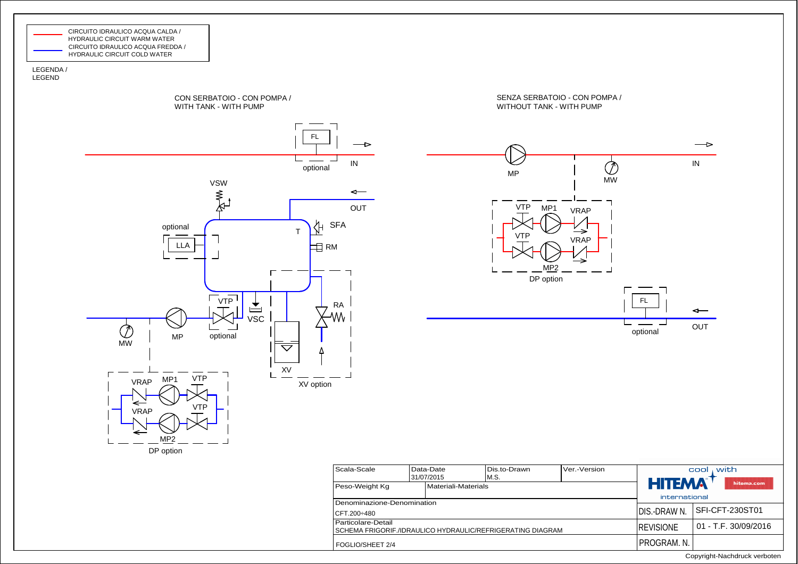

LEGENDA /LEGEND



FOGLIO/SHEET 2/4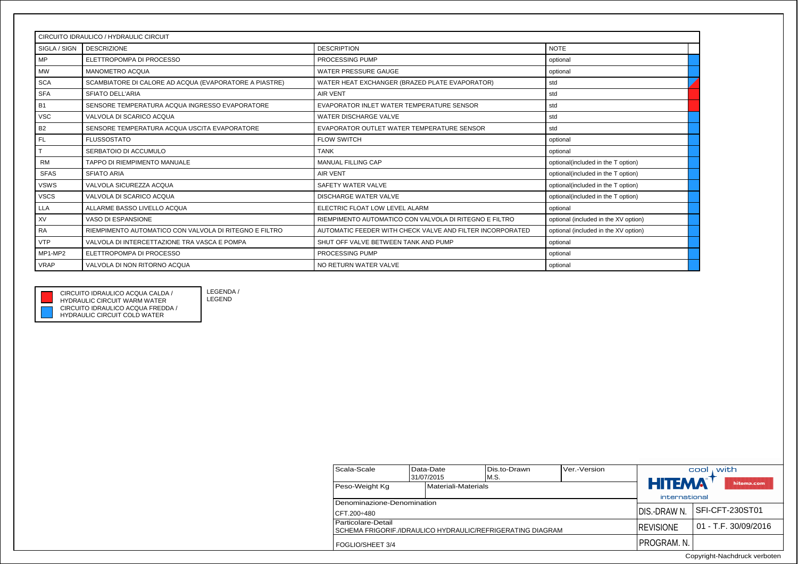| CIRCUITO IDRAULICO / HYDRAULIC CIRCUIT |                                                        |                                                           |                                      |  |  |
|----------------------------------------|--------------------------------------------------------|-----------------------------------------------------------|--------------------------------------|--|--|
| SIGLA / SIGN                           | <b>DESCRIZIONE</b>                                     | <b>DESCRIPTION</b>                                        | <b>NOTE</b>                          |  |  |
| <b>MP</b>                              | ELETTROPOMPA DI PROCESSO                               | PROCESSING PUMP                                           | optional                             |  |  |
| <b>MW</b>                              | <b>MANOMETRO ACQUA</b>                                 | <b>WATER PRESSURE GAUGE</b>                               | optional                             |  |  |
| <b>SCA</b>                             | SCAMBIATORE DI CALORE AD ACQUA (EVAPORATORE A PIASTRE) | WATER HEAT EXCHANGER (BRAZED PLATE EVAPORATOR)            | std                                  |  |  |
| <b>SFA</b>                             | <b>SFIATO DELL'ARIA</b>                                | <b>AIR VENT</b>                                           | std                                  |  |  |
| <b>B1</b>                              | SENSORE TEMPERATURA ACQUA INGRESSO EVAPORATORE         | EVAPORATOR INLET WATER TEMPERATURE SENSOR                 | std                                  |  |  |
| <b>VSC</b>                             | VALVOLA DI SCARICO ACQUA                               | WATER DISCHARGE VALVE                                     | std                                  |  |  |
| B <sub>2</sub>                         | SENSORE TEMPERATURA ACQUA USCITA EVAPORATORE           | EVAPORATOR OUTLET WATER TEMPERATURE SENSOR                | std                                  |  |  |
| <b>FL</b>                              | <b>FLUSSOSTATO</b>                                     | <b>FLOW SWITCH</b>                                        | optional                             |  |  |
|                                        | SERBATOIO DI ACCUMULO                                  | <b>TANK</b>                                               | optional                             |  |  |
| <b>RM</b>                              | TAPPO DI RIEMPIMENTO MANUALE                           | <b>MANUAL FILLING CAP</b>                                 | optional(included in the T option)   |  |  |
| <b>SFAS</b>                            | <b>SFIATO ARIA</b>                                     | <b>AIR VENT</b>                                           | optional(included in the T option)   |  |  |
| <b>VSWS</b>                            | VALVOLA SICUREZZA ACOUA                                | SAFETY WATER VALVE                                        | optional(included in the T option)   |  |  |
| <b>VSCS</b>                            | VALVOLA DI SCARICO ACQUA                               | <b>DISCHARGE WATER VALVE</b>                              | optional(included in the T option)   |  |  |
| <b>LLA</b>                             | ALLARME BASSO LIVELLO ACQUA                            | ELECTRIC FLOAT LOW LEVEL ALARM                            | optional                             |  |  |
| XV                                     | VASO DI ESPANSIONE                                     | RIEMPIMENTO AUTOMATICO CON VALVOLA DI RITEGNO E FILTRO    | optional (included in the XV option) |  |  |
| <b>RA</b>                              | RIEMPIMENTO AUTOMATICO CON VALVOLA DI RITEGNO E FILTRO | AUTOMATIC FEEDER WITH CHECK VALVE AND FILTER INCORPORATED | optional (included in the XV option) |  |  |
| <b>VTP</b>                             | VALVOLA DI INTERCETTAZIONE TRA VASCA E POMPA           | SHUT OFF VALVE BETWEEN TANK AND PUMP                      | optional                             |  |  |
| MP1-MP2                                | ELETTROPOMPA DI PROCESSO                               | PROCESSING PUMP                                           | optional                             |  |  |
| <b>VRAP</b>                            | VALVOLA DI NON RITORNO ACQUA                           | NO RETURN WATER VALVE                                     | optional                             |  |  |



CIRCUITO IDRAULICO ACQUA FREDDA / HYDRAULIC CIRCUIT COLD WATERHYDRAULIC CIRCUIT WARM WATER

CIRCUITO IDRAULICO ACQUA CALDA /

LEGENDA / LEGEND

| Scala-Scale                                                  | Data-Date |            | Dis.to-Drawn  | Ver.-Version        | with<br>cool      |                        |
|--------------------------------------------------------------|-----------|------------|---------------|---------------------|-------------------|------------------------|
|                                                              |           | 31/07/2015 | M.S.          |                     |                   |                        |
| Peso-Weight Kg<br>Materiali-Materials                        |           |            |               | <b>HITEMA</b>       | hitema.com        |                        |
|                                                              |           |            | international |                     |                   |                        |
| Denominazione-Denomination                                   |           |            |               |                     |                   |                        |
| CFT.200÷480                                                  |           |            | IDIS.-DRAW N. | I SFI-CFT-230ST01   |                   |                        |
| Particolare-Detail                                           |           |            |               |                     | <b>IREVISIONE</b> | $01 - T.F. 30/09/2016$ |
| I SCHEMA FRIGORIF./IDRAULICO HYDRAULIC/REFRIGERATING DIAGRAM |           |            |               |                     |                   |                        |
| FOGLIO/SHEET 3/4                                             |           |            |               | <b>IPROGRAM. N.</b> |                   |                        |